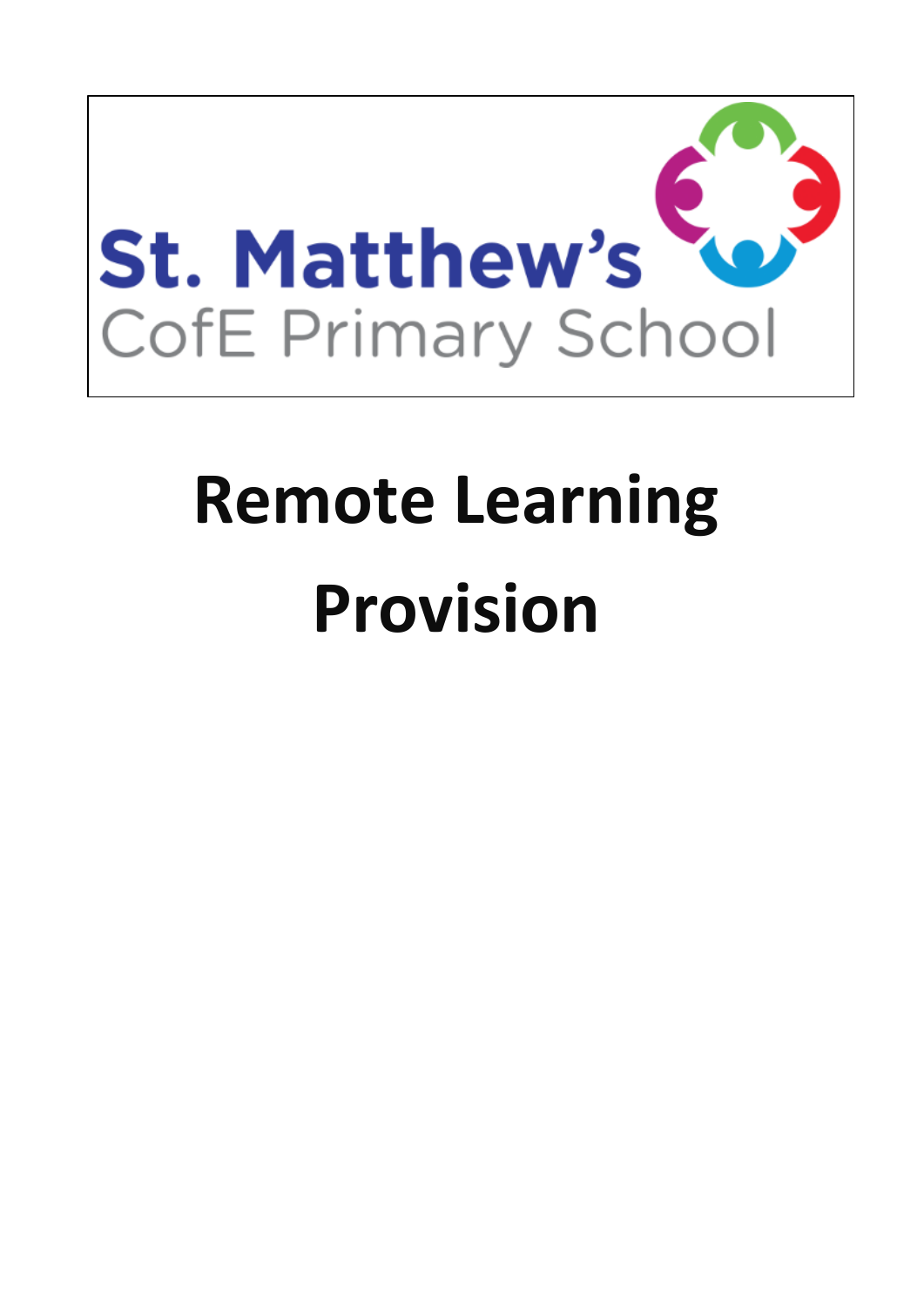

# **Remote Learning Provision**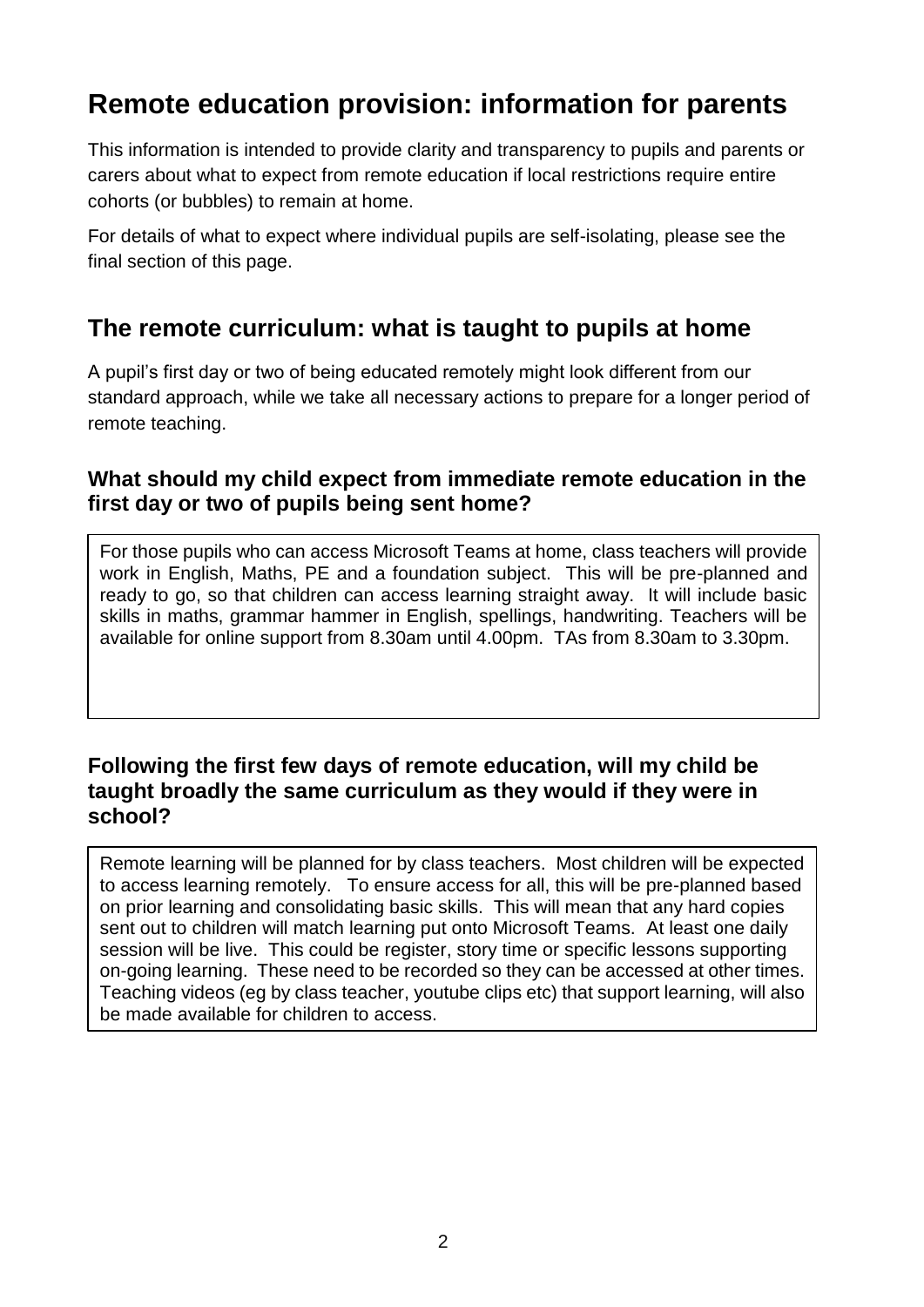# **Remote education provision: information for parents**

This information is intended to provide clarity and transparency to pupils and parents or carers about what to expect from remote education if local restrictions require entire cohorts (or bubbles) to remain at home.

For details of what to expect where individual pupils are self-isolating, please see the final section of this page.

# **The remote curriculum: what is taught to pupils at home**

A pupil's first day or two of being educated remotely might look different from our standard approach, while we take all necessary actions to prepare for a longer period of remote teaching.

#### **What should my child expect from immediate remote education in the first day or two of pupils being sent home?**

For those pupils who can access Microsoft Teams at home, class teachers will provide work in English, Maths, PE and a foundation subject. This will be pre-planned and ready to go, so that children can access learning straight away. It will include basic skills in maths, grammar hammer in English, spellings, handwriting. Teachers will be available for online support from 8.30am until 4.00pm. TAs from 8.30am to 3.30pm.

#### **Following the first few days of remote education, will my child be taught broadly the same curriculum as they would if they were in school?**

Remote learning will be planned for by class teachers. Most children will be expected to access learning remotely. To ensure access for all, this will be pre-planned based on prior learning and consolidating basic skills. This will mean that any hard copies sent out to children will match learning put onto Microsoft Teams. At least one daily session will be live. This could be register, story time or specific lessons supporting on-going learning. These need to be recorded so they can be accessed at other times. Teaching videos (eg by class teacher, youtube clips etc) that support learning, will also be made available for children to access.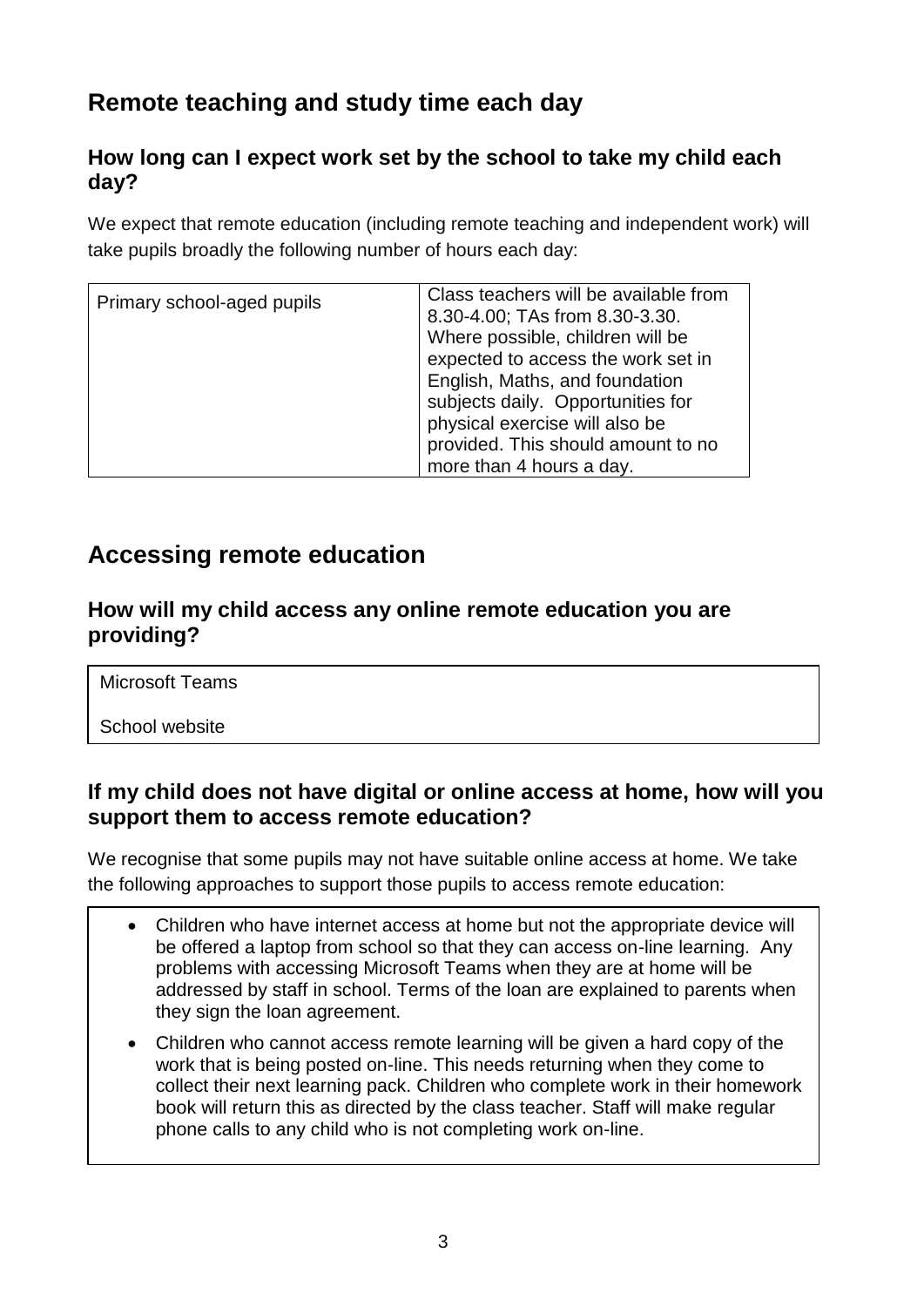# **Remote teaching and study time each day**

# **How long can I expect work set by the school to take my child each day?**

We expect that remote education (including remote teaching and independent work) will take pupils broadly the following number of hours each day:

| Primary school-aged pupils | Class teachers will be available from<br>8.30-4.00; TAs from 8.30-3.30.<br>Where possible, children will be<br>expected to access the work set in<br>English, Maths, and foundation<br>subjects daily. Opportunities for<br>physical exercise will also be<br>provided. This should amount to no |
|----------------------------|--------------------------------------------------------------------------------------------------------------------------------------------------------------------------------------------------------------------------------------------------------------------------------------------------|
|                            | more than 4 hours a day.                                                                                                                                                                                                                                                                         |

# **Accessing remote education**

#### **How will my child access any online remote education you are providing?**

Microsoft Teams

School website

## **If my child does not have digital or online access at home, how will you support them to access remote education?**

We recognise that some pupils may not have suitable online access at home. We take the following approaches to support those pupils to access remote education:

- Children who have internet access at home but not the appropriate device will be offered a laptop from school so that they can access on-line learning. Any problems with accessing Microsoft Teams when they are at home will be addressed by staff in school. Terms of the loan are explained to parents when they sign the loan agreement.
- Children who cannot access remote learning will be given a hard copy of the work that is being posted on-line. This needs returning when they come to collect their next learning pack. Children who complete work in their homework book will return this as directed by the class teacher. Staff will make regular phone calls to any child who is not completing work on-line.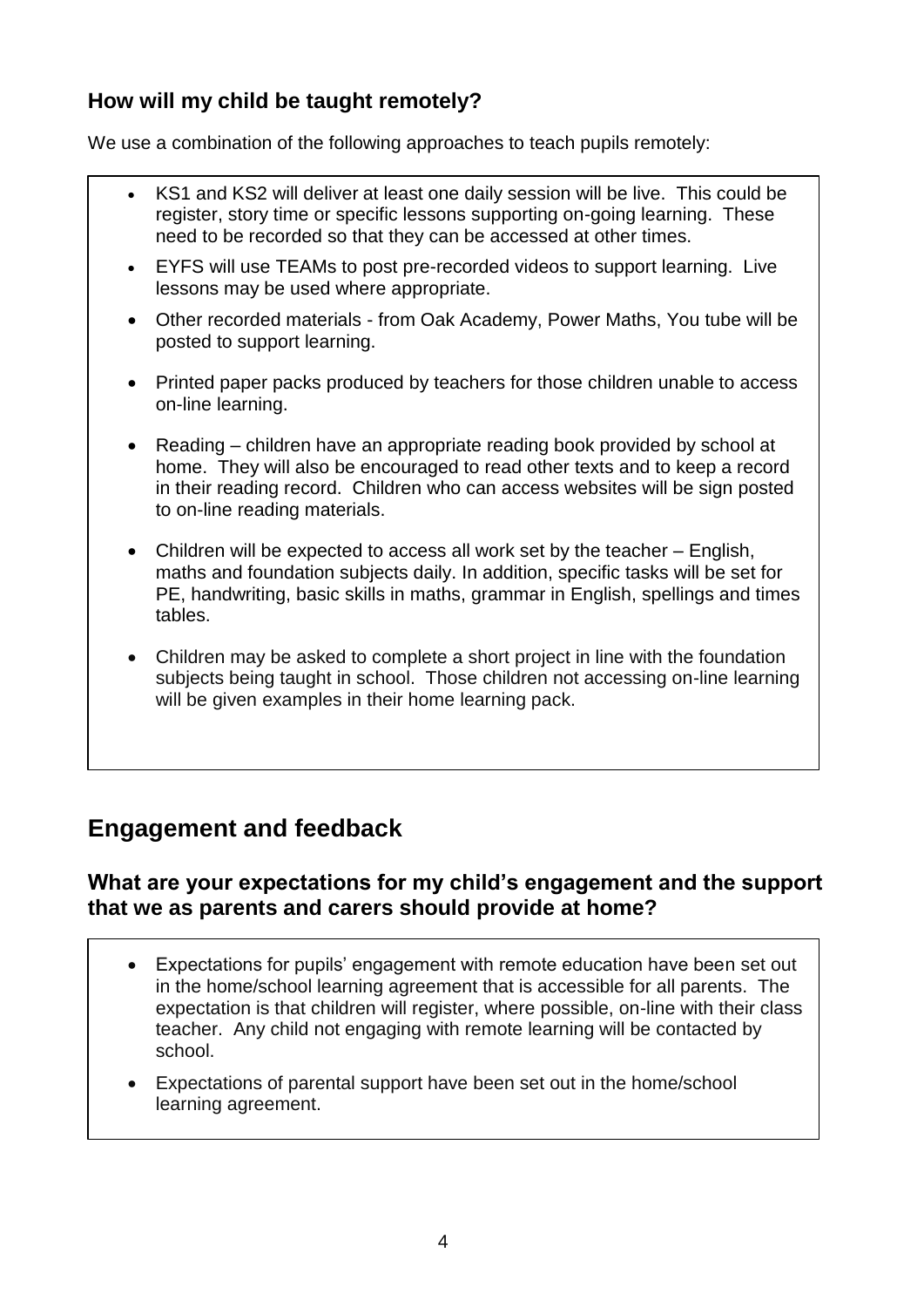# **How will my child be taught remotely?**

We use a combination of the following approaches to teach pupils remotely:

- KS1 and KS2 will deliver at least one daily session will be live. This could be register, story time or specific lessons supporting on-going learning. These need to be recorded so that they can be accessed at other times.
- EYFS will use TEAMs to post pre-recorded videos to support learning. Live lessons may be used where appropriate.
- Other recorded materials from Oak Academy, Power Maths, You tube will be posted to support learning.
- Printed paper packs produced by teachers for those children unable to access on-line learning.
- Reading children have an appropriate reading book provided by school at home. They will also be encouraged to read other texts and to keep a record in their reading record. Children who can access websites will be sign posted to on-line reading materials.
- Children will be expected to access all work set by the teacher English, maths and foundation subjects daily. In addition, specific tasks will be set for PE, handwriting, basic skills in maths, grammar in English, spellings and times tables.
- Children may be asked to complete a short project in line with the foundation subjects being taught in school. Those children not accessing on-line learning will be given examples in their home learning pack.

# **Engagement and feedback**

#### **What are your expectations for my child's engagement and the support that we as parents and carers should provide at home?**

- Expectations for pupils' engagement with remote education have been set out in the home/school learning agreement that is accessible for all parents. The expectation is that children will register, where possible, on-line with their class teacher. Any child not engaging with remote learning will be contacted by school.
- Expectations of parental support have been set out in the home/school learning agreement.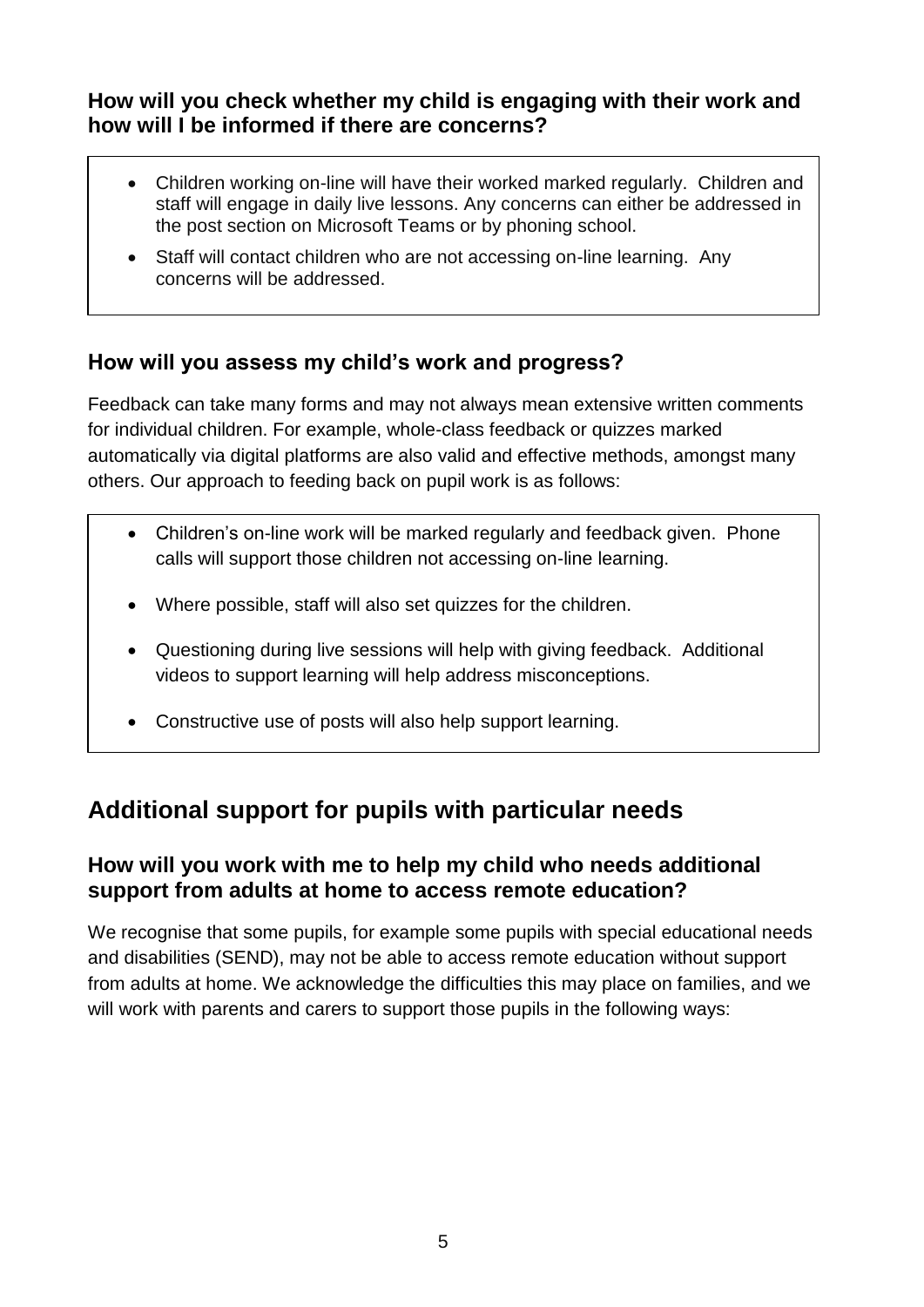## **How will you check whether my child is engaging with their work and how will I be informed if there are concerns?**

- Children working on-line will have their worked marked regularly. Children and staff will engage in daily live lessons. Any concerns can either be addressed in the post section on Microsoft Teams or by phoning school.
- Staff will contact children who are not accessing on-line learning. Any concerns will be addressed.

# **How will you assess my child's work and progress?**

Feedback can take many forms and may not always mean extensive written comments for individual children. For example, whole-class feedback or quizzes marked automatically via digital platforms are also valid and effective methods, amongst many others. Our approach to feeding back on pupil work is as follows:

- Children's on-line work will be marked regularly and feedback given. Phone calls will support those children not accessing on-line learning.
- Where possible, staff will also set quizzes for the children.
- Questioning during live sessions will help with giving feedback. Additional videos to support learning will help address misconceptions.
- Constructive use of posts will also help support learning.

# **Additional support for pupils with particular needs**

## **How will you work with me to help my child who needs additional support from adults at home to access remote education?**

We recognise that some pupils, for example some pupils with special educational needs and disabilities (SEND), may not be able to access remote education without support from adults at home. We acknowledge the difficulties this may place on families, and we will work with parents and carers to support those pupils in the following ways: